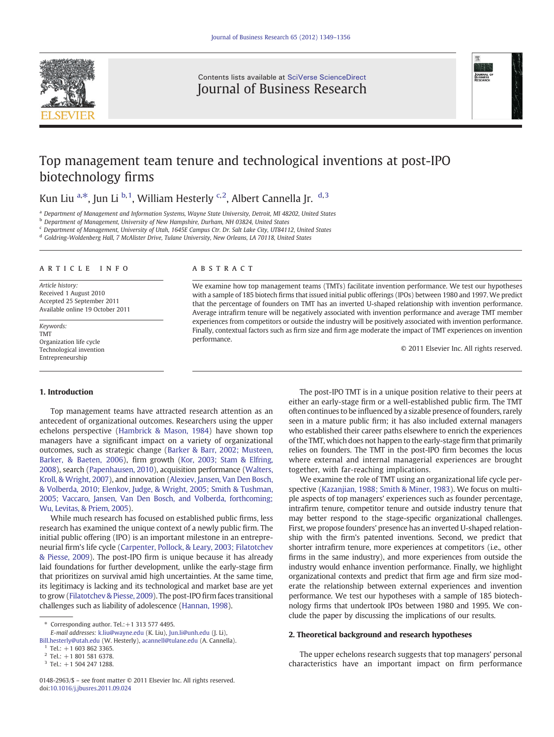

Contents lists available at [SciVerse ScienceDirect](http://www.sciencedirect.com/science/journal/01482963) Journal of Business Research



## Top management team tenure and technological inventions at post-IPO biotechnology firms

### Kun Liu <sup>a, $\ast$ </sup>, Jun Li <sup>b, 1</sup>, William Hesterly <sup>c, 2</sup>, Albert Cannella Jr. <sup>d, 3</sup>

<sup>a</sup> Department of Management and Information Systems, Wayne State University, Detroit, MI 48202, United States

<sup>b</sup> Department of Management, University of New Hampshire, Durham, NH 03824, United States

<sup>c</sup> Department of Management, University of Utah, 1645E Campus Ctr. Dr. Salt Lake City, UT84112, United States

<sup>d</sup> Goldring-Woldenberg Hall, 7 McAlister Drive, Tulane University, New Orleans, LA 70118, United States

#### article info abstract

Article history: Received 1 August 2010 Accepted 25 September 2011 Available online 19 October 2011

Keywords: TMT Organization life cycle Technological invention Entrepreneurship

### 1. Introduction

Top management teams have attracted research attention as an antecedent of organizational outcomes. Researchers using the upper echelons perspective ([Hambrick & Mason, 1984\)](#page--1-0) have shown top managers have a significant impact on a variety of organizational outcomes, such as strategic change [\(Barker & Barr, 2002; Musteen,](#page--1-0) [Barker, & Baeten, 2006](#page--1-0)), firm growth ([Kor, 2003; Stam & Elfring,](#page--1-0) [2008](#page--1-0)), search [\(Papenhausen, 2010\)](#page--1-0), acquisition performance [\(Walters,](#page--1-0) [Kroll, & Wright, 2007](#page--1-0)), and innovation ([Alexiev, Jansen, Van Den Bosch,](#page--1-0) [& Volberda, 2010; Elenkov, Judge, & Wright, 2005; Smith & Tushman,](#page--1-0) [2005; Vaccaro, Jansen, Van Den Bosch, and Volberda, forthcoming;](#page--1-0) [Wu, Levitas, & Priem, 2005\)](#page--1-0).

While much research has focused on established public firms, less research has examined the unique context of a newly public firm. The initial public offering (IPO) is an important milestone in an entrepreneurial firm's life cycle ([Carpenter, Pollock, & Leary, 2003; Filatotchev](#page--1-0) [& Piesse, 2009](#page--1-0)). The post-IPO firm is unique because it has already laid foundations for further development, unlike the early-stage firm that prioritizes on survival amid high uncertainties. At the same time, its legitimacy is lacking and its technological and market base are yet to grow ([Filatotchev & Piesse, 2009](#page--1-0)). The post-IPO firm faces transitional challenges such as liability of adolescence ([Hannan, 1998](#page--1-0)).

We examine how top management teams (TMTs) facilitate invention performance. We test our hypotheses with a sample of 185 biotech firms that issued initial public offerings (IPOs) between 1980 and 1997. We predict that the percentage of founders on TMT has an inverted U-shaped relationship with invention performance. Average intrafirm tenure will be negatively associated with invention performance and average TMT member experiences from competitors or outside the industry will be positively associated with invention performance. Finally, contextual factors such as firm size and firm age moderate the impact of TMT experiences on invention performance.

© 2011 Elsevier Inc. All rights reserved.

The post-IPO TMT is in a unique position relative to their peers at either an early-stage firm or a well-established public firm. The TMT often continues to be influenced by a sizable presence of founders, rarely seen in a mature public firm; it has also included external managers who established their career paths elsewhere to enrich the experiences of the TMT, which does not happen to the early-stage firm that primarily relies on founders. The TMT in the post-IPO firm becomes the locus where external and internal managerial experiences are brought together, with far-reaching implications.

We examine the role of TMT using an organizational life cycle perspective ([Kazanjian, 1988; Smith & Miner, 1983](#page--1-0)). We focus on multiple aspects of top managers' experiences such as founder percentage, intrafirm tenure, competitor tenure and outside industry tenure that may better respond to the stage-specific organizational challenges. First, we propose founders' presence has an inverted U-shaped relationship with the firm's patented inventions. Second, we predict that shorter intrafirm tenure, more experiences at competitors (i.e., other firms in the same industry), and more experiences from outside the industry would enhance invention performance. Finally, we highlight organizational contexts and predict that firm age and firm size moderate the relationship between external experiences and invention performance. We test our hypotheses with a sample of 185 biotechnology firms that undertook IPOs between 1980 and 1995. We conclude the paper by discussing the implications of our results.

#### 2. Theoretical background and research hypotheses

The upper echelons research suggests that top managers' personal characteristics have an important impact on firm performance

Corresponding author. Tel.: $+1$  313 577 4495.

E-mail addresses: [k.liu@wayne.edu](mailto:k.liu@wayne.edu) (K. Liu), [Jun.li@unh.edu](mailto:Jun.li@unh.edu) (J. Li),

[Bill.hesterly@utah.edu](mailto:Bill.hesterly@utah.edu) (W. Hesterly), [acannell@tulane.edu](mailto:acannell@tulane.edu) (A. Cannella).  $1$  Tel.: +1 603 862 3365.

 $2$  Tel.: +1 801 581 6378.

 $3$  Tel.:  $+1$  504 247 1288.

<sup>0148-2963/\$</sup> – see front matter © 2011 Elsevier Inc. All rights reserved. doi:[10.1016/j.jbusres.2011.09.024](http://dx.doi.org/10.1016/j.jbusres.2011.09.024)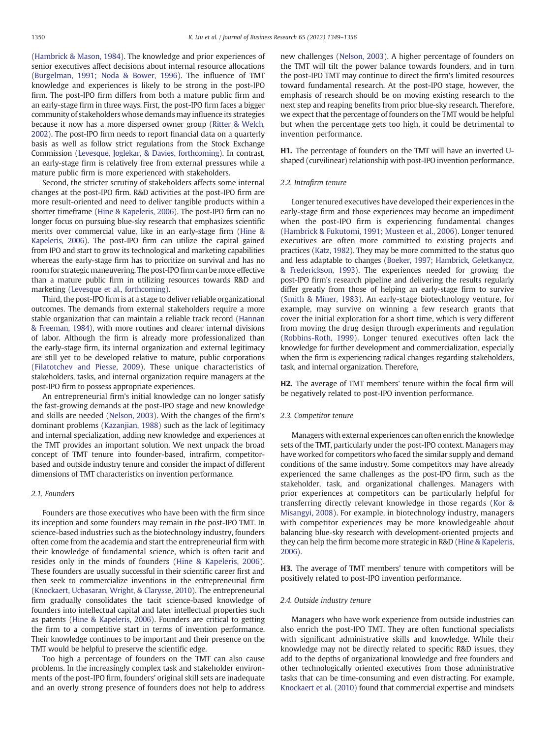[\(Hambrick & Mason, 1984\)](#page--1-0). The knowledge and prior experiences of senior executives affect decisions about internal resource allocations [\(Burgelman, 1991; Noda & Bower, 1996\)](#page--1-0). The influence of TMT knowledge and experiences is likely to be strong in the post-IPO firm. The post-IPO firm differs from both a mature public firm and an early-stage firm in three ways. First, the post-IPO firm faces a bigger community of stakeholders whose demands may influence its strategies because it now has a more dispersed owner group [\(Ritter & Welch,](#page--1-0) [2002\)](#page--1-0). The post-IPO firm needs to report financial data on a quarterly basis as well as follow strict regulations from the Stock Exchange Commission [\(Levesque, Joglekar, & Davies, forthcoming\)](#page--1-0). In contrast, an early-stage firm is relatively free from external pressures while a mature public firm is more experienced with stakeholders.

Second, the stricter scrutiny of stakeholders affects some internal changes at the post-IPO firm. R&D activities at the post-IPO firm are more result-oriented and need to deliver tangible products within a shorter timeframe [\(Hine & Kapeleris, 2006\)](#page--1-0). The post-IPO firm can no longer focus on pursuing blue-sky research that emphasizes scientific merits over commercial value, like in an early-stage firm [\(Hine &](#page--1-0) [Kapeleris, 2006\)](#page--1-0). The post-IPO firm can utilize the capital gained from IPO and start to grow its technological and marketing capabilities whereas the early-stage firm has to prioritize on survival and has no room for strategic maneuvering. The post-IPO firm can be more effective than a mature public firm in utilizing resources towards R&D and marketing ([Levesque et al., forthcoming](#page--1-0)).

Third, the post-IPO firm is at a stage to deliver reliable organizational outcomes. The demands from external stakeholders require a more stable organization that can maintain a reliable track record ([Hannan](#page--1-0) [& Freeman, 1984](#page--1-0)), with more routines and clearer internal divisions of labor. Although the firm is already more professionalized than the early-stage firm, its internal organization and external legitimacy are still yet to be developed relative to mature, public corporations [\(Filatotchev and Piesse, 2009\)](#page--1-0). These unique characteristics of stakeholders, tasks, and internal organization require managers at the post-IPO firm to possess appropriate experiences.

An entrepreneurial firm's initial knowledge can no longer satisfy the fast-growing demands at the post-IPO stage and new knowledge and skills are needed [\(Nelson, 2003](#page--1-0)). With the changes of the firm's dominant problems [\(Kazanjian, 1988](#page--1-0)) such as the lack of legitimacy and internal specialization, adding new knowledge and experiences at the TMT provides an important solution. We next unpack the broad concept of TMT tenure into founder-based, intrafirm, competitorbased and outside industry tenure and consider the impact of different dimensions of TMT characteristics on invention performance.

#### 2.1. Founders

Founders are those executives who have been with the firm since its inception and some founders may remain in the post-IPO TMT. In science-based industries such as the biotechnology industry, founders often come from the academia and start the entrepreneurial firm with their knowledge of fundamental science, which is often tacit and resides only in the minds of founders ([Hine & Kapeleris, 2006](#page--1-0)). These founders are usually successful in their scientific career first and then seek to commercialize inventions in the entrepreneurial firm [\(Knockaert, Ucbasaran, Wright, & Clarysse, 2010](#page--1-0)). The entrepreneurial firm gradually consolidates the tacit science-based knowledge of founders into intellectual capital and later intellectual properties such as patents ([Hine & Kapeleris, 2006](#page--1-0)). Founders are critical to getting the firm to a competitive start in terms of invention performance. Their knowledge continues to be important and their presence on the TMT would be helpful to preserve the scientific edge.

Too high a percentage of founders on the TMT can also cause problems. In the increasingly complex task and stakeholder environments of the post-IPO firm, founders' original skill sets are inadequate and an overly strong presence of founders does not help to address new challenges ([Nelson, 2003\)](#page--1-0). A higher percentage of founders on the TMT will tilt the power balance towards founders, and in turn the post-IPO TMT may continue to direct the firm's limited resources toward fundamental research. At the post-IPO stage, however, the emphasis of research should be on moving existing research to the next step and reaping benefits from prior blue-sky research. Therefore, we expect that the percentage of founders on the TMT would be helpful but when the percentage gets too high, it could be detrimental to invention performance.

H1. The percentage of founders on the TMT will have an inverted Ushaped (curvilinear) relationship with post-IPO invention performance.

#### 2.2. Intrafirm tenure

Longer tenured executives have developed their experiences in the early-stage firm and those experiences may become an impediment when the post-IPO firm is experiencing fundamental changes [\(Hambrick & Fukutomi, 1991; Musteen et al., 2006\)](#page--1-0). Longer tenured executives are often more committed to existing projects and practices ([Katz, 1982](#page--1-0)). They may be more committed to the status quo and less adaptable to changes [\(Boeker, 1997; Hambrick, Geletkanycz,](#page--1-0) [& Frederickson, 1993\)](#page--1-0). The experiences needed for growing the post-IPO firm's research pipeline and delivering the results regularly differ greatly from those of helping an early-stage firm to survive [\(Smith & Miner, 1983\)](#page--1-0). An early-stage biotechnology venture, for example, may survive on winning a few research grants that cover the initial exploration for a short time, which is very different from moving the drug design through experiments and regulation [\(Robbins-Roth, 1999\)](#page--1-0). Longer tenured executives often lack the knowledge for further development and commercialization, especially when the firm is experiencing radical changes regarding stakeholders, task, and internal organization. Therefore,

H2. The average of TMT members' tenure within the focal firm will be negatively related to post-IPO invention performance.

#### 2.3. Competitor tenure

Managers with external experiences can often enrich the knowledge sets of the TMT, particularly under the post-IPO context. Managers may have worked for competitors who faced the similar supply and demand conditions of the same industry. Some competitors may have already experienced the same challenges as the post-IPO firm, such as the stakeholder, task, and organizational challenges. Managers with prior experiences at competitors can be particularly helpful for transferring directly relevant knowledge in those regards [\(Kor &](#page--1-0) [Misangyi, 2008](#page--1-0)). For example, in biotechnology industry, managers with competitor experiences may be more knowledgeable about balancing blue-sky research with development-oriented projects and they can help the firm become more strategic in R&D ([Hine & Kapeleris,](#page--1-0) [2006\)](#page--1-0).

H3. The average of TMT members' tenure with competitors will be positively related to post-IPO invention performance.

#### 2.4. Outside industry tenure

Managers who have work experience from outside industries can also enrich the post-IPO TMT. They are often functional specialists with significant administrative skills and knowledge. While their knowledge may not be directly related to specific R&D issues, they add to the depths of organizational knowledge and free founders and other technologically oriented executives from those administrative tasks that can be time-consuming and even distracting. For example, [Knockaert et al. \(2010\)](#page--1-0) found that commercial expertise and mindsets